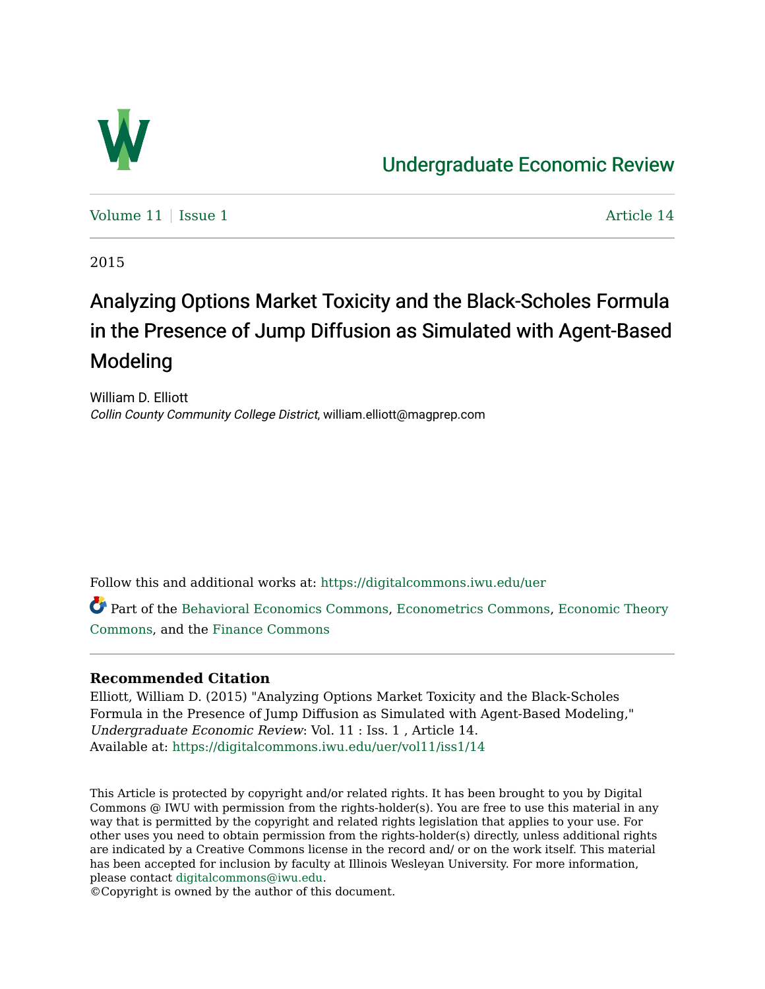

## [Undergraduate Economic Review](https://digitalcommons.iwu.edu/uer)

Volume  $11$  [Issue 1](https://digitalcommons.iwu.edu/uer/vol11/iss1)  $\overline{a}$  Article 14

2015

# Analyzing Options Market Toxicity and the Black-Scholes Formula in the Presence of Jump Diffusion as Simulated with Agent-Based Modeling

William D. Elliott Collin County Community College District, william.elliott@magprep.com

Follow this and additional works at: [https://digitalcommons.iwu.edu/uer](https://digitalcommons.iwu.edu/uer?utm_source=digitalcommons.iwu.edu%2Fuer%2Fvol11%2Fiss1%2F14&utm_medium=PDF&utm_campaign=PDFCoverPages)

Part of the [Behavioral Economics Commons](http://network.bepress.com/hgg/discipline/341?utm_source=digitalcommons.iwu.edu%2Fuer%2Fvol11%2Fiss1%2F14&utm_medium=PDF&utm_campaign=PDFCoverPages), [Econometrics Commons](http://network.bepress.com/hgg/discipline/342?utm_source=digitalcommons.iwu.edu%2Fuer%2Fvol11%2Fiss1%2F14&utm_medium=PDF&utm_campaign=PDFCoverPages), [Economic Theory](http://network.bepress.com/hgg/discipline/344?utm_source=digitalcommons.iwu.edu%2Fuer%2Fvol11%2Fiss1%2F14&utm_medium=PDF&utm_campaign=PDFCoverPages) [Commons](http://network.bepress.com/hgg/discipline/344?utm_source=digitalcommons.iwu.edu%2Fuer%2Fvol11%2Fiss1%2F14&utm_medium=PDF&utm_campaign=PDFCoverPages), and the [Finance Commons](http://network.bepress.com/hgg/discipline/345?utm_source=digitalcommons.iwu.edu%2Fuer%2Fvol11%2Fiss1%2F14&utm_medium=PDF&utm_campaign=PDFCoverPages) 

## **Recommended Citation**

Elliott, William D. (2015) "Analyzing Options Market Toxicity and the Black-Scholes Formula in the Presence of Jump Diffusion as Simulated with Agent-Based Modeling," Undergraduate Economic Review: Vol. 11 : Iss. 1 , Article 14. Available at: [https://digitalcommons.iwu.edu/uer/vol11/iss1/14](https://digitalcommons.iwu.edu/uer/vol11/iss1/14?utm_source=digitalcommons.iwu.edu%2Fuer%2Fvol11%2Fiss1%2F14&utm_medium=PDF&utm_campaign=PDFCoverPages) 

This Article is protected by copyright and/or related rights. It has been brought to you by Digital Commons @ IWU with permission from the rights-holder(s). You are free to use this material in any way that is permitted by the copyright and related rights legislation that applies to your use. For other uses you need to obtain permission from the rights-holder(s) directly, unless additional rights are indicated by a Creative Commons license in the record and/ or on the work itself. This material has been accepted for inclusion by faculty at Illinois Wesleyan University. For more information, please contact [digitalcommons@iwu.edu.](mailto:digitalcommons@iwu.edu)

©Copyright is owned by the author of this document.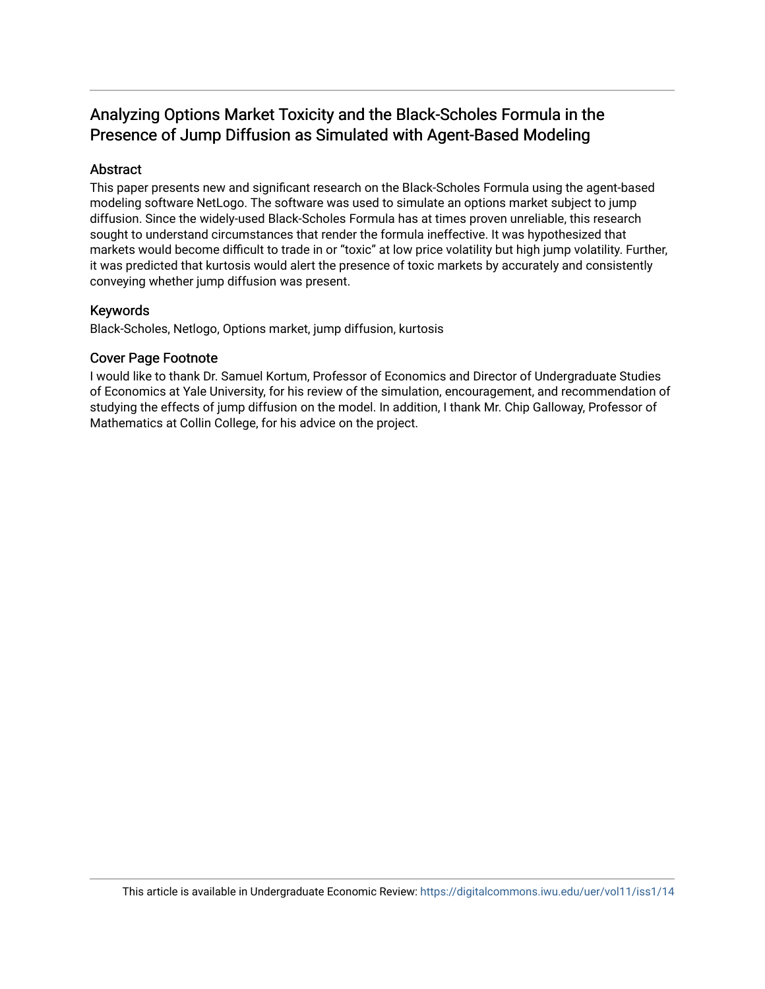## Analyzing Options Market Toxicity and the Black-Scholes Formula in the Presence of Jump Diffusion as Simulated with Agent-Based Modeling

## Abstract

This paper presents new and significant research on the Black-Scholes Formula using the agent-based modeling software NetLogo. The software was used to simulate an options market subject to jump diffusion. Since the widely-used Black-Scholes Formula has at times proven unreliable, this research sought to understand circumstances that render the formula ineffective. It was hypothesized that markets would become difficult to trade in or "toxic" at low price volatility but high jump volatility. Further, it was predicted that kurtosis would alert the presence of toxic markets by accurately and consistently conveying whether jump diffusion was present.

#### Keywords

Black-Scholes, Netlogo, Options market, jump diffusion, kurtosis

#### Cover Page Footnote

I would like to thank Dr. Samuel Kortum, Professor of Economics and Director of Undergraduate Studies of Economics at Yale University, for his review of the simulation, encouragement, and recommendation of studying the effects of jump diffusion on the model. In addition, I thank Mr. Chip Galloway, Professor of Mathematics at Collin College, for his advice on the project.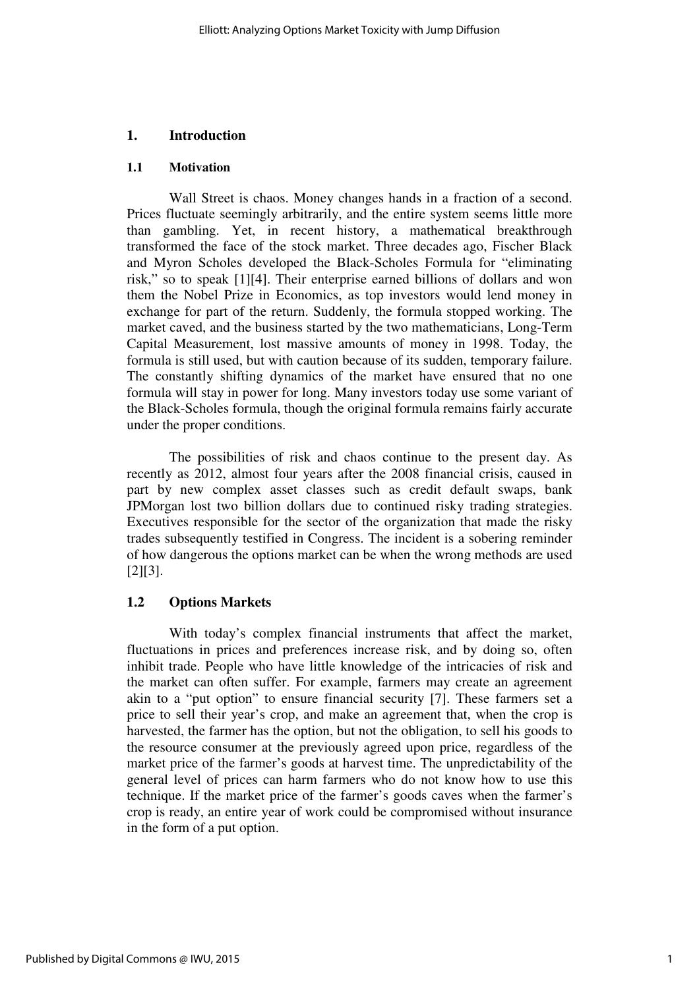#### **1. Introduction**

#### **1.1 Motivation**

Wall Street is chaos. Money changes hands in a fraction of a second. Prices fluctuate seemingly arbitrarily, and the entire system seems little more than gambling. Yet, in recent history, a mathematical breakthrough transformed the face of the stock market. Three decades ago, Fischer Black and Myron Scholes developed the Black-Scholes Formula for "eliminating risk," so to speak [1][4]. Their enterprise earned billions of dollars and won them the Nobel Prize in Economics, as top investors would lend money in exchange for part of the return. Suddenly, the formula stopped working. The market caved, and the business started by the two mathematicians, Long-Term Capital Measurement, lost massive amounts of money in 1998. Today, the formula is still used, but with caution because of its sudden, temporary failure. The constantly shifting dynamics of the market have ensured that no one formula will stay in power for long. Many investors today use some variant of the Black-Scholes formula, though the original formula remains fairly accurate under the proper conditions.

The possibilities of risk and chaos continue to the present day. As recently as 2012, almost four years after the 2008 financial crisis, caused in part by new complex asset classes such as credit default swaps, bank JPMorgan lost two billion dollars due to continued risky trading strategies. Executives responsible for the sector of the organization that made the risky trades subsequently testified in Congress. The incident is a sobering reminder of how dangerous the options market can be when the wrong methods are used [2][3].

#### **1.2 Options Markets**

With today's complex financial instruments that affect the market, fluctuations in prices and preferences increase risk, and by doing so, often inhibit trade. People who have little knowledge of the intricacies of risk and the market can often suffer. For example, farmers may create an agreement akin to a "put option" to ensure financial security [7]. These farmers set a price to sell their year's crop, and make an agreement that, when the crop is harvested, the farmer has the option, but not the obligation, to sell his goods to the resource consumer at the previously agreed upon price, regardless of the market price of the farmer's goods at harvest time. The unpredictability of the general level of prices can harm farmers who do not know how to use this technique. If the market price of the farmer's goods caves when the farmer's crop is ready, an entire year of work could be compromised without insurance in the form of a put option.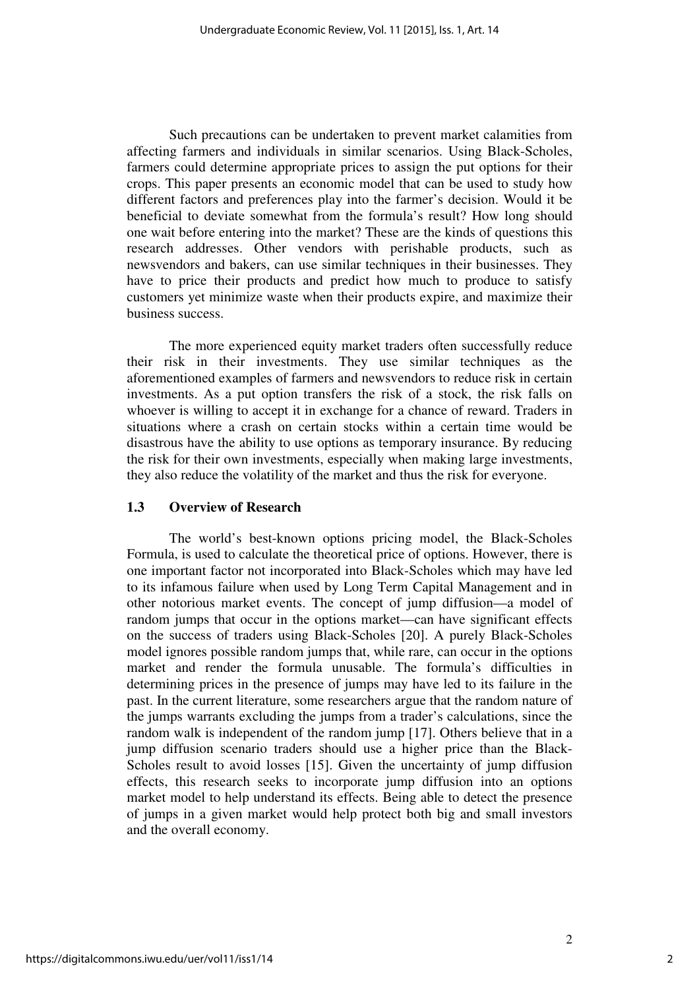Such precautions can be undertaken to prevent market calamities from affecting farmers and individuals in similar scenarios. Using Black-Scholes, farmers could determine appropriate prices to assign the put options for their crops. This paper presents an economic model that can be used to study how different factors and preferences play into the farmer's decision. Would it be beneficial to deviate somewhat from the formula's result? How long should one wait before entering into the market? These are the kinds of questions this research addresses. Other vendors with perishable products, such as newsvendors and bakers, can use similar techniques in their businesses. They have to price their products and predict how much to produce to satisfy customers yet minimize waste when their products expire, and maximize their business success.

The more experienced equity market traders often successfully reduce their risk in their investments. They use similar techniques as the aforementioned examples of farmers and newsvendors to reduce risk in certain investments. As a put option transfers the risk of a stock, the risk falls on whoever is willing to accept it in exchange for a chance of reward. Traders in situations where a crash on certain stocks within a certain time would be disastrous have the ability to use options as temporary insurance. By reducing the risk for their own investments, especially when making large investments, they also reduce the volatility of the market and thus the risk for everyone.

#### **1.3 Overview of Research**

The world's best-known options pricing model, the Black-Scholes Formula, is used to calculate the theoretical price of options. However, there is one important factor not incorporated into Black-Scholes which may have led to its infamous failure when used by Long Term Capital Management and in other notorious market events. The concept of jump diffusion—a model of random jumps that occur in the options market—can have significant effects on the success of traders using Black-Scholes [20]. A purely Black-Scholes model ignores possible random jumps that, while rare, can occur in the options market and render the formula unusable. The formula's difficulties in determining prices in the presence of jumps may have led to its failure in the past. In the current literature, some researchers argue that the random nature of the jumps warrants excluding the jumps from a trader's calculations, since the random walk is independent of the random jump [17]. Others believe that in a jump diffusion scenario traders should use a higher price than the Black-Scholes result to avoid losses [15]. Given the uncertainty of jump diffusion effects, this research seeks to incorporate jump diffusion into an options market model to help understand its effects. Being able to detect the presence of jumps in a given market would help protect both big and small investors and the overall economy.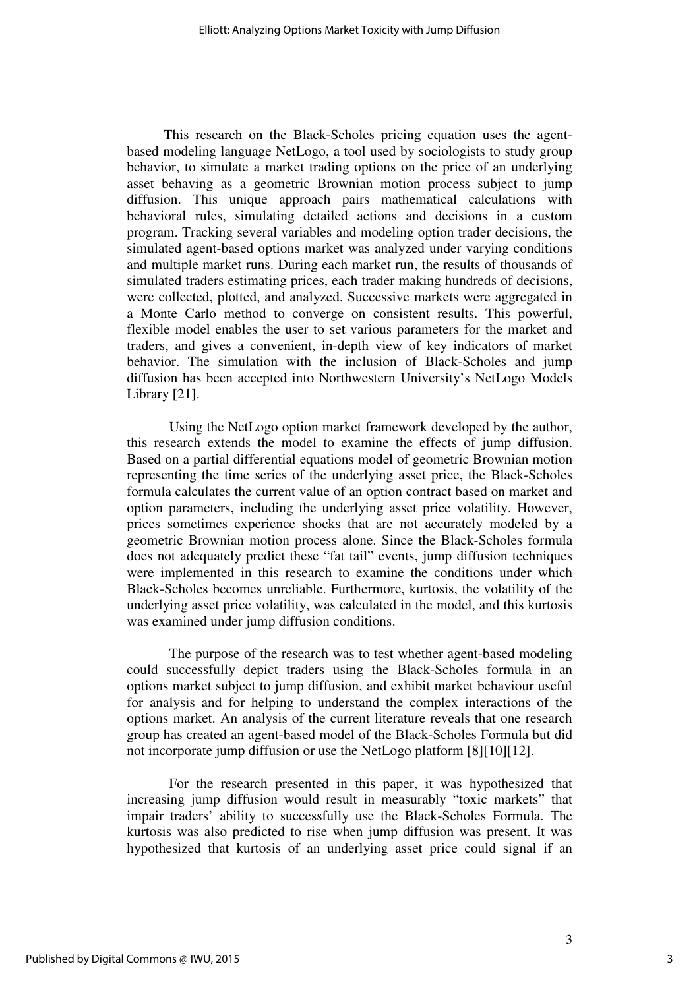This research on the Black-Scholes pricing equation uses the agentbased modeling language NetLogo, a tool used by sociologists to study group behavior, to simulate a market trading options on the price of an underlying asset behaving as a geometric Brownian motion process subject to jump diffusion. This unique approach pairs mathematical calculations with behavioral rules, simulating detailed actions and decisions in a custom program. Tracking several variables and modeling option trader decisions, the simulated agent-based options market was analyzed under varying conditions and multiple market runs. During each market run, the results of thousands of simulated traders estimating prices, each trader making hundreds of decisions, were collected, plotted, and analyzed. Successive markets were aggregated in a Monte Carlo method to converge on consistent results. This powerful, flexible model enables the user to set various parameters for the market and traders, and gives a convenient, in-depth view of key indicators of market behavior. The simulation with the inclusion of Black-Scholes and jump diffusion has been accepted into Northwestern University's NetLogo Models Library [21].

 Using the NetLogo option market framework developed by the author, this research extends the model to examine the effects of jump diffusion. Based on a partial differential equations model of geometric Brownian motion representing the time series of the underlying asset price, the Black-Scholes formula calculates the current value of an option contract based on market and option parameters, including the underlying asset price volatility. However, prices sometimes experience shocks that are not accurately modeled by a geometric Brownian motion process alone. Since the Black-Scholes formula does not adequately predict these "fat tail" events, jump diffusion techniques were implemented in this research to examine the conditions under which Black-Scholes becomes unreliable. Furthermore, kurtosis, the volatility of the underlying asset price volatility, was calculated in the model, and this kurtosis was examined under jump diffusion conditions.

 The purpose of the research was to test whether agent-based modeling could successfully depict traders using the Black-Scholes formula in an options market subject to jump diffusion, and exhibit market behaviour useful for analysis and for helping to understand the complex interactions of the options market. An analysis of the current literature reveals that one research group has created an agent-based model of the Black-Scholes Formula but did not incorporate jump diffusion or use the NetLogo platform [8][10][12].

 For the research presented in this paper, it was hypothesized that increasing jump diffusion would result in measurably "toxic markets" that impair traders' ability to successfully use the Black-Scholes Formula. The kurtosis was also predicted to rise when jump diffusion was present. It was hypothesized that kurtosis of an underlying asset price could signal if an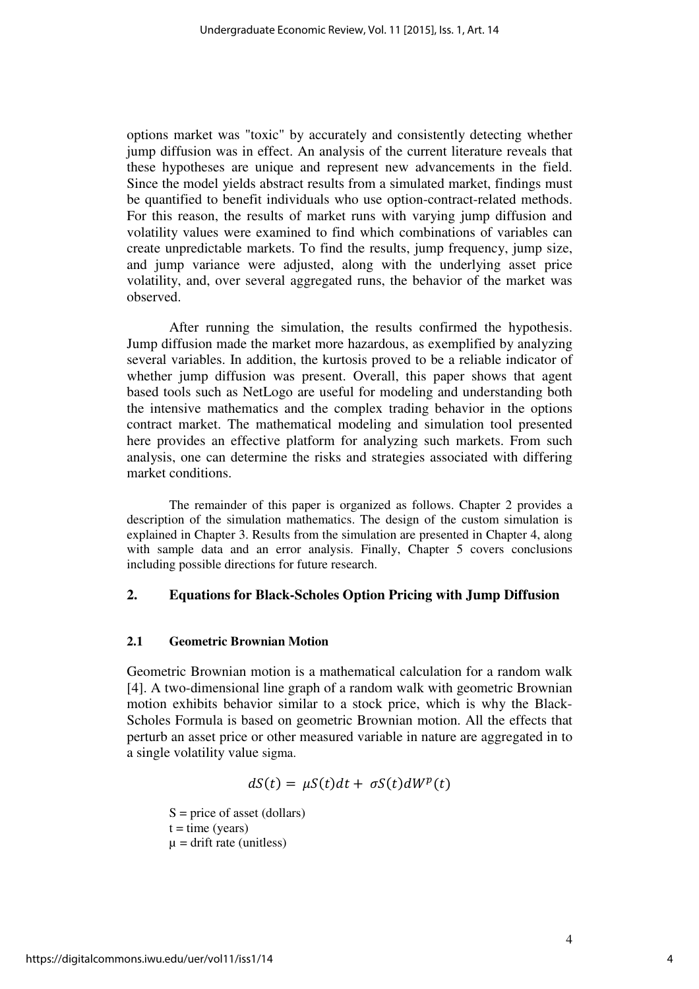options market was "toxic" by accurately and consistently detecting whether jump diffusion was in effect. An analysis of the current literature reveals that these hypotheses are unique and represent new advancements in the field. Since the model yields abstract results from a simulated market, findings must be quantified to benefit individuals who use option-contract-related methods. For this reason, the results of market runs with varying jump diffusion and volatility values were examined to find which combinations of variables can create unpredictable markets. To find the results, jump frequency, jump size, and jump variance were adjusted, along with the underlying asset price volatility, and, over several aggregated runs, the behavior of the market was observed.

 After running the simulation, the results confirmed the hypothesis. Jump diffusion made the market more hazardous, as exemplified by analyzing several variables. In addition, the kurtosis proved to be a reliable indicator of whether jump diffusion was present. Overall, this paper shows that agent based tools such as NetLogo are useful for modeling and understanding both the intensive mathematics and the complex trading behavior in the options contract market. The mathematical modeling and simulation tool presented here provides an effective platform for analyzing such markets. From such analysis, one can determine the risks and strategies associated with differing market conditions.

The remainder of this paper is organized as follows. Chapter 2 provides a description of the simulation mathematics. The design of the custom simulation is explained in Chapter 3. Results from the simulation are presented in Chapter 4, along with sample data and an error analysis. Finally, Chapter 5 covers conclusions including possible directions for future research.

#### **2. Equations for Black-Scholes Option Pricing with Jump Diffusion**

#### **2.1 Geometric Brownian Motion**

Geometric Brownian motion is a mathematical calculation for a random walk [4]. A two-dimensional line graph of a random walk with geometric Brownian motion exhibits behavior similar to a stock price, which is why the Black-Scholes Formula is based on geometric Brownian motion. All the effects that perturb an asset price or other measured variable in nature are aggregated in to a single volatility value sigma.

$$
dS(t) = \mu S(t)dt + \sigma S(t)dW^{p}(t)
$$

 $S = price of asset (dollars)$  $t = time (years)$  $\mu$  = drift rate (unitless)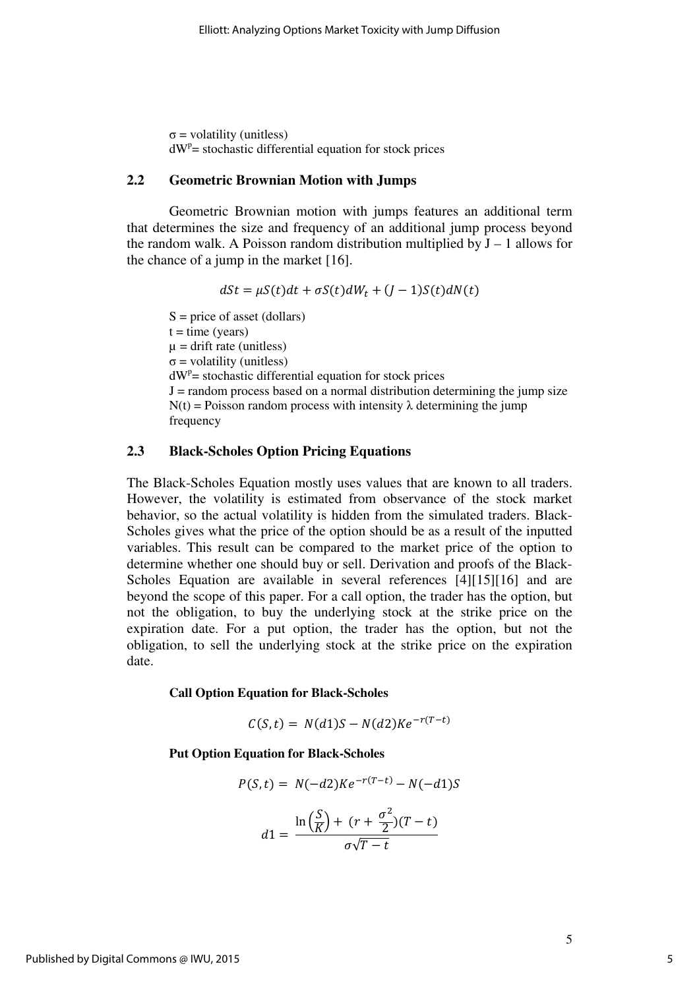$\sigma$  = volatility (unitless)  $dW^{p}$  = stochastic differential equation for stock prices

#### **2.2 Geometric Brownian Motion with Jumps**

 Geometric Brownian motion with jumps features an additional term that determines the size and frequency of an additional jump process beyond the random walk. A Poisson random distribution multiplied by  $J - 1$  allows for the chance of a jump in the market [16].

$$
dSt = \mu S(t)dt + \sigma S(t)dW_t + (J - 1)S(t)dN(t)
$$

 $S = price of asset (dollars)$  $t = time (years)$  $\mu$  = drift rate (unitless)  $\sigma$  = volatility (unitless)  $dW^{p}$  = stochastic differential equation for stock prices  $J =$  random process based on a normal distribution determining the jump size  $N(t)$  = Poisson random process with intensity  $\lambda$  determining the jump frequency

#### **2.3 Black-Scholes Option Pricing Equations**

The Black-Scholes Equation mostly uses values that are known to all traders. However, the volatility is estimated from observance of the stock market behavior, so the actual volatility is hidden from the simulated traders. Black-Scholes gives what the price of the option should be as a result of the inputted variables. This result can be compared to the market price of the option to determine whether one should buy or sell. Derivation and proofs of the Black-Scholes Equation are available in several references [4][15][16] and are beyond the scope of this paper. For a call option, the trader has the option, but not the obligation, to buy the underlying stock at the strike price on the expiration date. For a put option, the trader has the option, but not the obligation, to sell the underlying stock at the strike price on the expiration date.

#### **Call Option Equation for Black-Scholes**

$$
C(S,t) = N(d1)S - N(d2)Ke^{-r(T-t)}
$$

#### **Put Option Equation for Black-Scholes**

$$
P(S, t) = N(-d2)Ke^{-r(T-t)} - N(-d1)S
$$

$$
d1 = \frac{\ln(\frac{S}{K}) + (r + \frac{\sigma^2}{2})(T-t)}{\sigma\sqrt{T-t}}
$$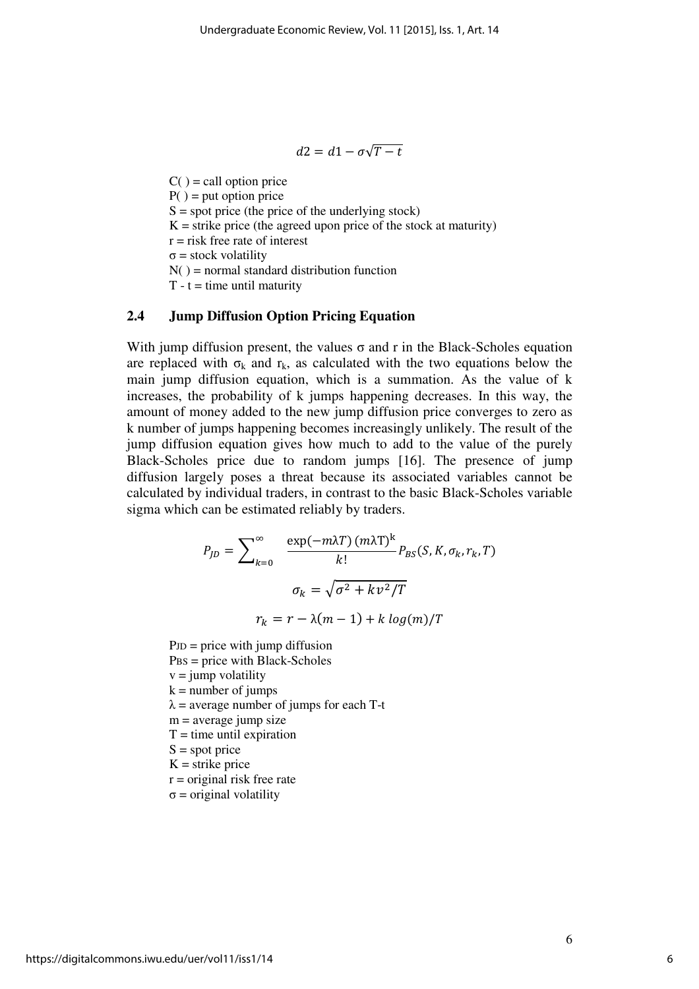$$
d2 = d1 - \sigma\sqrt{T - t}
$$

 $C() = \text{call option price}$  $P() = put option price$  $S = spot$  price (the price of the underlying stock)  $K =$  strike price (the agreed upon price of the stock at maturity)  $r =$  risk free rate of interest σ = stock volatility  $N()$  = normal standard distribution function  $T - t =$  time until maturity

## **2.4 Jump Diffusion Option Pricing Equation**

With jump diffusion present, the values  $\sigma$  and r in the Black-Scholes equation are replaced with  $\sigma_k$  and  $r_k$ , as calculated with the two equations below the main jump diffusion equation, which is a summation. As the value of k increases, the probability of k jumps happening decreases. In this way, the amount of money added to the new jump diffusion price converges to zero as k number of jumps happening becomes increasingly unlikely. The result of the jump diffusion equation gives how much to add to the value of the purely Black-Scholes price due to random jumps [16]. The presence of jump diffusion largely poses a threat because its associated variables cannot be calculated by individual traders, in contrast to the basic Black-Scholes variable sigma which can be estimated reliably by traders.

$$
P_{JD} = \sum_{k=0}^{\infty} \frac{\exp(-m\lambda T) (m\lambda T)^k}{k!} P_{BS}(S, K, \sigma_k, r_k, T)
$$

$$
\sigma_k = \sqrt{\sigma^2 + k v^2 / T}
$$

$$
r_k = r - \lambda (m - 1) + k \log(m) / T
$$

 $PJD = price$  with jump diffusion PBS = price with Black-Scholes  $v = jump$  volatility  $k =$  number of jumps  $\lambda$  = average number of jumps for each T-t  $m = average$  jump size  $T =$  time until expiration  $S = spot$  price  $K =$ strike price  $r =$  original risk free rate  $\sigma$  = original volatility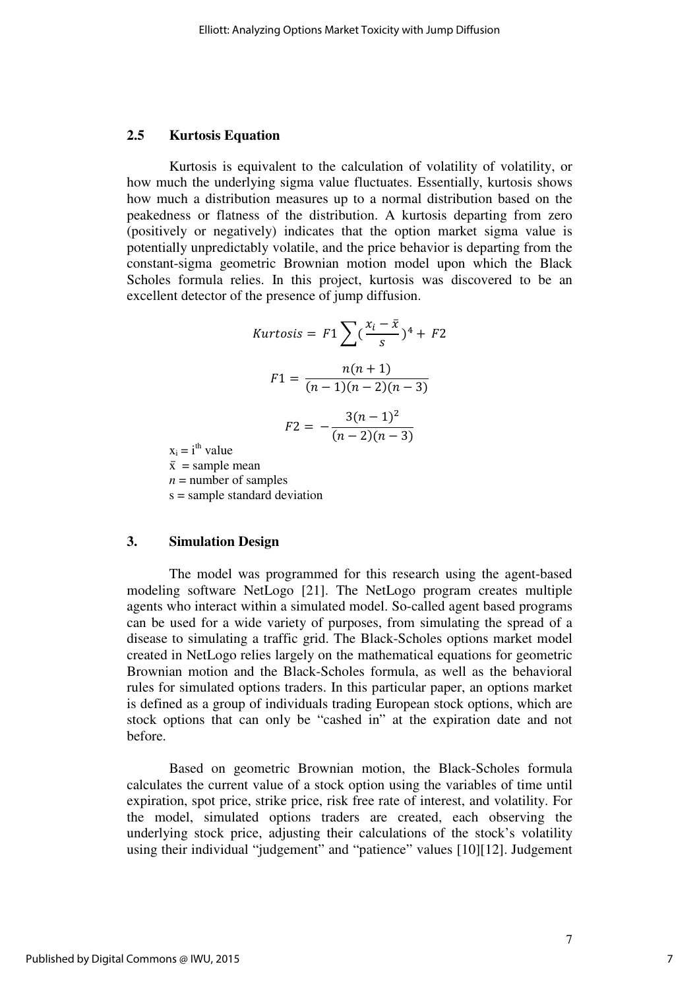#### **2.5 Kurtosis Equation**

 Kurtosis is equivalent to the calculation of volatility of volatility, or how much the underlying sigma value fluctuates. Essentially, kurtosis shows how much a distribution measures up to a normal distribution based on the peakedness or flatness of the distribution. A kurtosis departing from zero (positively or negatively) indicates that the option market sigma value is potentially unpredictably volatile, and the price behavior is departing from the constant-sigma geometric Brownian motion model upon which the Black Scholes formula relies. In this project, kurtosis was discovered to be an excellent detector of the presence of jump diffusion.

$$
Kurtosis = F1 \sum_{s} (\frac{x_i - \bar{x}}{s})^4 + F2
$$
\n
$$
F1 = \frac{n(n+1)}{(n-1)(n-2)(n-3)}
$$
\n
$$
F2 = -\frac{3(n-1)^2}{(n-2)(n-3)}
$$

 $x_i = i^{th}$  value

 $\bar{x}$  = sample mean  $n =$  number of samples s = sample standard deviation

#### **3. Simulation Design**

The model was programmed for this research using the agent-based modeling software NetLogo [21]. The NetLogo program creates multiple agents who interact within a simulated model. So-called agent based programs can be used for a wide variety of purposes, from simulating the spread of a disease to simulating a traffic grid. The Black-Scholes options market model created in NetLogo relies largely on the mathematical equations for geometric Brownian motion and the Black-Scholes formula, as well as the behavioral rules for simulated options traders. In this particular paper, an options market is defined as a group of individuals trading European stock options, which are stock options that can only be "cashed in" at the expiration date and not before.

Based on geometric Brownian motion, the Black-Scholes formula calculates the current value of a stock option using the variables of time until expiration, spot price, strike price, risk free rate of interest, and volatility. For the model, simulated options traders are created, each observing the underlying stock price, adjusting their calculations of the stock's volatility using their individual "judgement" and "patience" values [10][12]. Judgement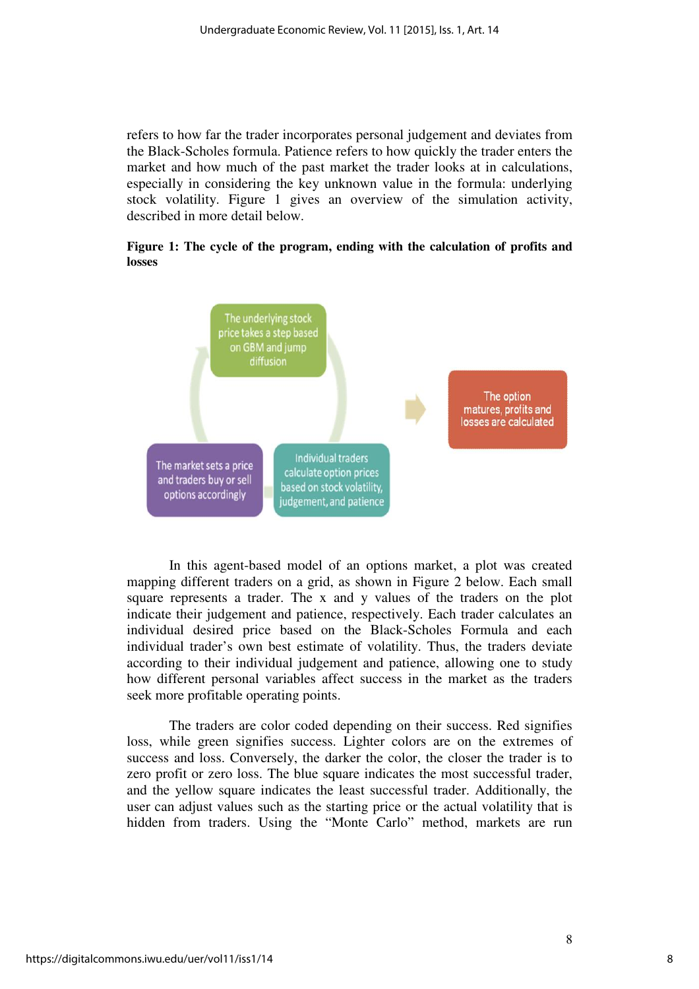refers to how far the trader incorporates personal judgement and deviates from the Black-Scholes formula. Patience refers to how quickly the trader enters the market and how much of the past market the trader looks at in calculations, especially in considering the key unknown value in the formula: underlying stock volatility. Figure 1 gives an overview of the simulation activity, described in more detail below.

**Figure 1: The cycle of the program, ending with the calculation of profits and losses** 



In this agent-based model of an options market, a plot was created mapping different traders on a grid, as shown in Figure 2 below. Each small square represents a trader. The x and y values of the traders on the plot indicate their judgement and patience, respectively. Each trader calculates an individual desired price based on the Black-Scholes Formula and each individual trader's own best estimate of volatility. Thus, the traders deviate according to their individual judgement and patience, allowing one to study how different personal variables affect success in the market as the traders seek more profitable operating points.

The traders are color coded depending on their success. Red signifies loss, while green signifies success. Lighter colors are on the extremes of success and loss. Conversely, the darker the color, the closer the trader is to zero profit or zero loss. The blue square indicates the most successful trader, and the yellow square indicates the least successful trader. Additionally, the user can adjust values such as the starting price or the actual volatility that is hidden from traders. Using the "Monte Carlo" method, markets are run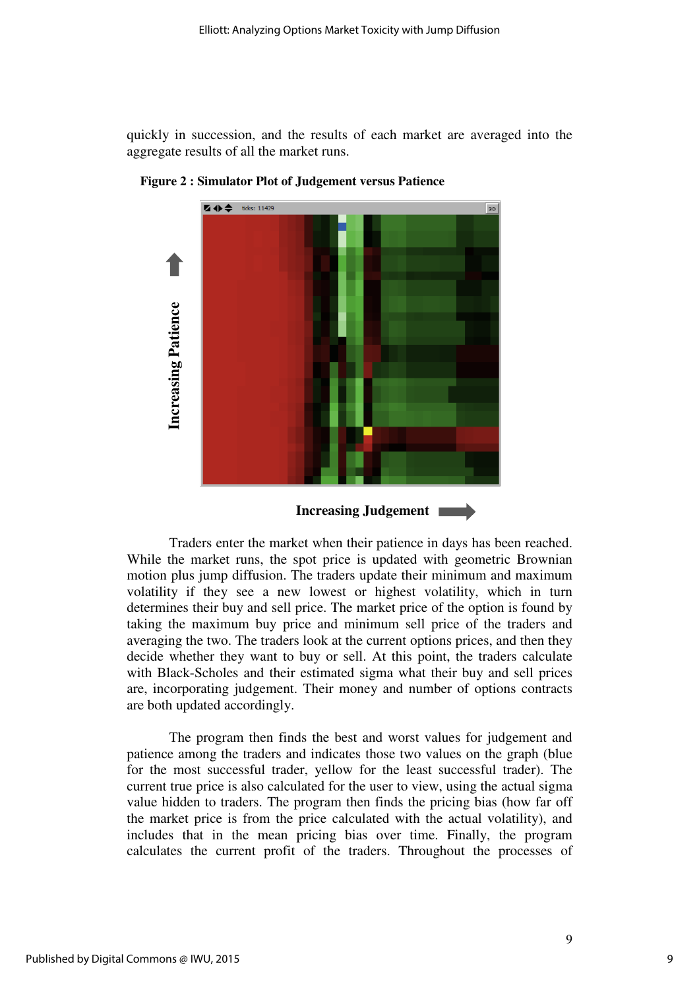quickly in succession, and the results of each market are averaged into the aggregate results of all the market runs.



**Figure 2 : Simulator Plot of Judgement versus Patience**

Traders enter the market when their patience in days has been reached. While the market runs, the spot price is updated with geometric Brownian motion plus jump diffusion. The traders update their minimum and maximum volatility if they see a new lowest or highest volatility, which in turn determines their buy and sell price. The market price of the option is found by taking the maximum buy price and minimum sell price of the traders and averaging the two. The traders look at the current options prices, and then they decide whether they want to buy or sell. At this point, the traders calculate with Black-Scholes and their estimated sigma what their buy and sell prices are, incorporating judgement. Their money and number of options contracts are both updated accordingly.

The program then finds the best and worst values for judgement and patience among the traders and indicates those two values on the graph (blue for the most successful trader, yellow for the least successful trader). The current true price is also calculated for the user to view, using the actual sigma value hidden to traders. The program then finds the pricing bias (how far off the market price is from the price calculated with the actual volatility), and includes that in the mean pricing bias over time. Finally, the program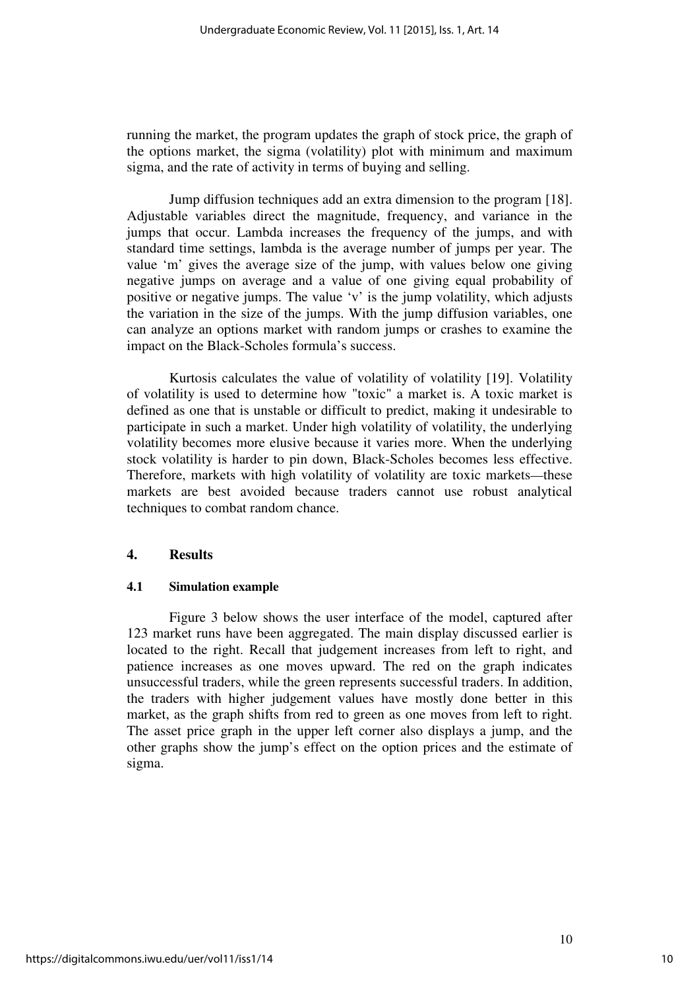running the market, the program updates the graph of stock price, the graph of the options market, the sigma (volatility) plot with minimum and maximum sigma, and the rate of activity in terms of buying and selling.

Jump diffusion techniques add an extra dimension to the program [18]. Adjustable variables direct the magnitude, frequency, and variance in the jumps that occur. Lambda increases the frequency of the jumps, and with standard time settings, lambda is the average number of jumps per year. The value 'm' gives the average size of the jump, with values below one giving negative jumps on average and a value of one giving equal probability of positive or negative jumps. The value 'v' is the jump volatility, which adjusts the variation in the size of the jumps. With the jump diffusion variables, one can analyze an options market with random jumps or crashes to examine the impact on the Black-Scholes formula's success.

Kurtosis calculates the value of volatility of volatility [19]. Volatility of volatility is used to determine how "toxic" a market is. A toxic market is defined as one that is unstable or difficult to predict, making it undesirable to participate in such a market. Under high volatility of volatility, the underlying volatility becomes more elusive because it varies more. When the underlying stock volatility is harder to pin down, Black-Scholes becomes less effective. Therefore, markets with high volatility of volatility are toxic markets—these markets are best avoided because traders cannot use robust analytical techniques to combat random chance.

#### **4. Results**

#### **4.1 Simulation example**

Figure 3 below shows the user interface of the model, captured after 123 market runs have been aggregated. The main display discussed earlier is located to the right. Recall that judgement increases from left to right, and patience increases as one moves upward. The red on the graph indicates unsuccessful traders, while the green represents successful traders. In addition, the traders with higher judgement values have mostly done better in this market, as the graph shifts from red to green as one moves from left to right. The asset price graph in the upper left corner also displays a jump, and the other graphs show the jump's effect on the option prices and the estimate of sigma.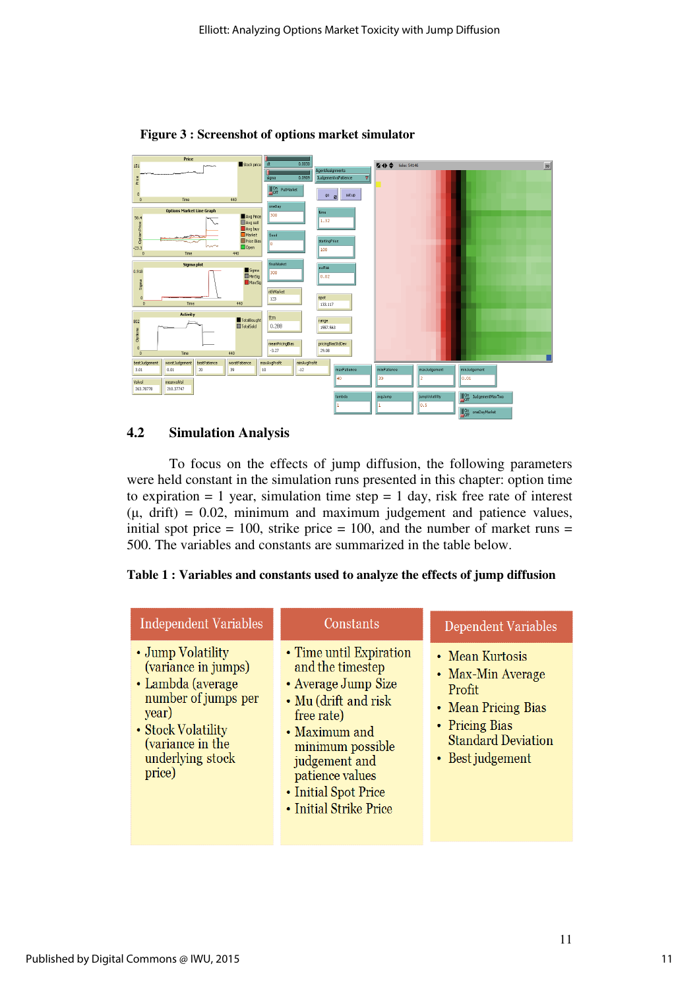

**Figure 3 : Screenshot of options market simulator** 

## **4.2 Simulation Analysis**

 To focus on the effects of jump diffusion, the following parameters were held constant in the simulation runs presented in this chapter: option time to expiration  $= 1$  year, simulation time step  $= 1$  day, risk free rate of interest  $(\mu, \text{drift}) = 0.02$ , minimum and maximum judgement and patience values, initial spot price  $= 100$ , strike price  $= 100$ , and the number of market runs  $=$ 500. The variables and constants are summarized in the table below.

**Table 1 : Variables and constants used to analyze the effects of jump diffusion** 

| Independent Variables                                                                                                                                                 | Constants                                                                                                                                                                                                                           | Dependent Variables                                                                                                                      |
|-----------------------------------------------------------------------------------------------------------------------------------------------------------------------|-------------------------------------------------------------------------------------------------------------------------------------------------------------------------------------------------------------------------------------|------------------------------------------------------------------------------------------------------------------------------------------|
| • Jump Volatility<br>(variance in jumps)<br>• Lambda (average<br>number of jumps per<br>year)<br>• Stock Volatility<br>(variance in the<br>underlying stock<br>price) | • Time until Expiration<br>and the timestep<br>• Average Jump Size<br>• Mu (drift and risk<br>free rate)<br>• Maximum and<br>minimum possible<br>judgement and<br>patience values<br>• Initial Spot Price<br>• Initial Strike Price | • Mean Kurtosis<br>• Max-Min Average<br>Profit<br>• Mean Pricing Bias<br>• Pricing Bias<br><b>Standard Deviation</b><br>• Best judgement |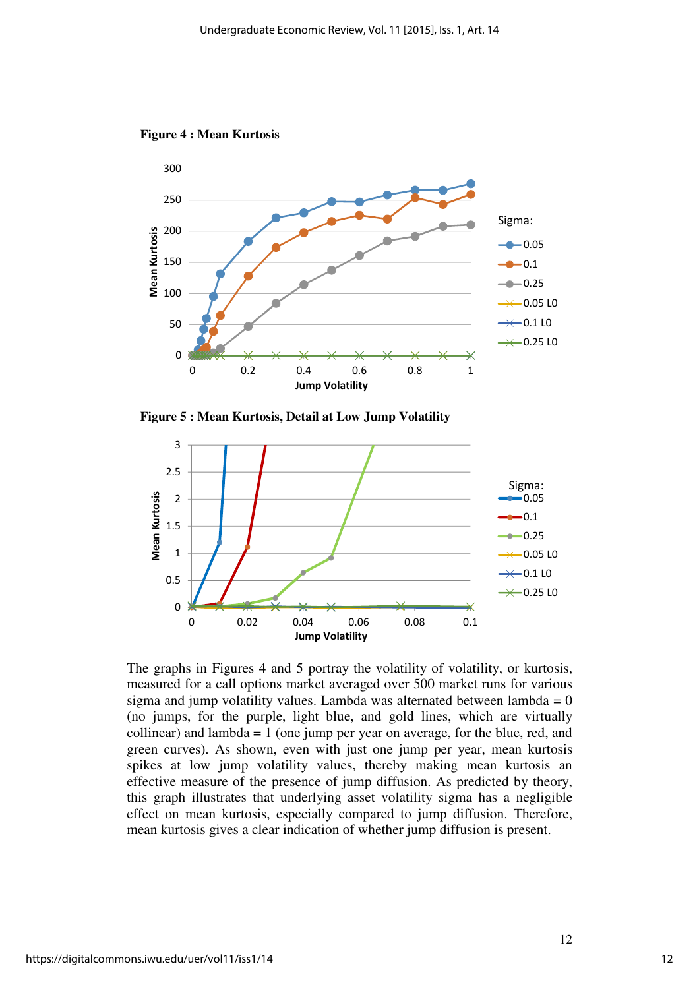

**Figure 4 : Mean Kurtosis** 

**Figure 5 : Mean Kurtosis, Detail at Low Jump Volatility** 



The graphs in Figures 4 and 5 portray the volatility of volatility, or kurtosis, measured for a call options market averaged over 500 market runs for various sigma and jump volatility values. Lambda was alternated between lambda =  $0$ (no jumps, for the purple, light blue, and gold lines, which are virtually collinear) and lambda  $= 1$  (one jump per year on average, for the blue, red, and green curves). As shown, even with just one jump per year, mean kurtosis spikes at low jump volatility values, thereby making mean kurtosis an effective measure of the presence of jump diffusion. As predicted by theory, this graph illustrates that underlying asset volatility sigma has a negligible effect on mean kurtosis, especially compared to jump diffusion. Therefore, mean kurtosis gives a clear indication of whether jump diffusion is present.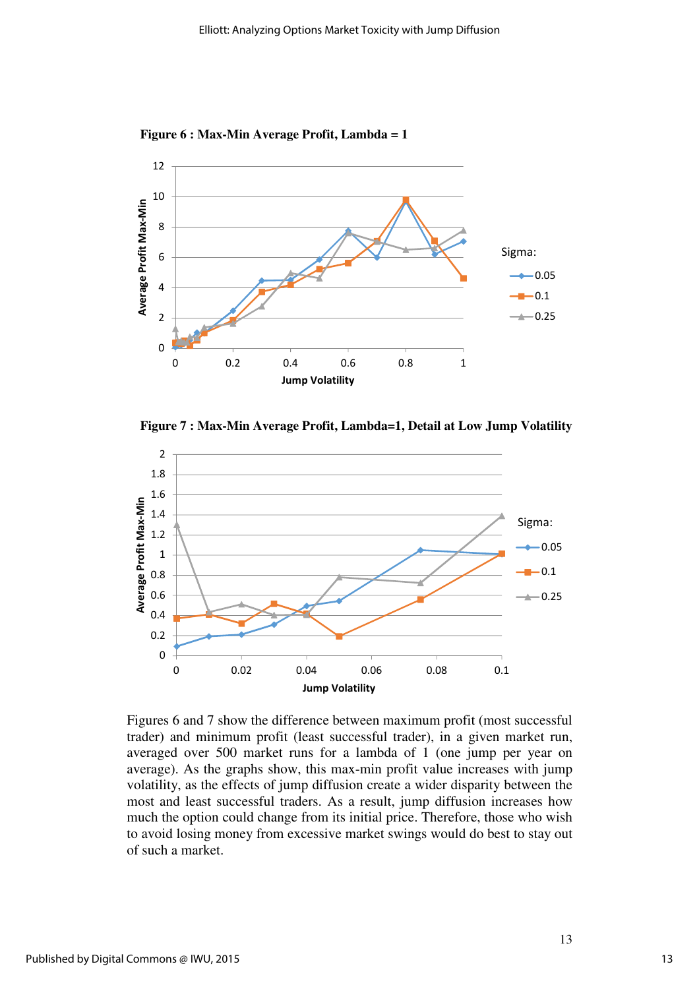**Figure 6 : Max-Min Average Profit, Lambda = 1**



**Figure 7 : Max-Min Average Profit, Lambda=1, Detail at Low Jump Volatility** 



Figures 6 and 7 show the difference between maximum profit (most successful trader) and minimum profit (least successful trader), in a given market run, averaged over 500 market runs for a lambda of 1 (one jump per year on average). As the graphs show, this max-min profit value increases with jump volatility, as the effects of jump diffusion create a wider disparity between the most and least successful traders. As a result, jump diffusion increases how much the option could change from its initial price. Therefore, those who wish to avoid losing money from excessive market swings would do best to stay out of such a market.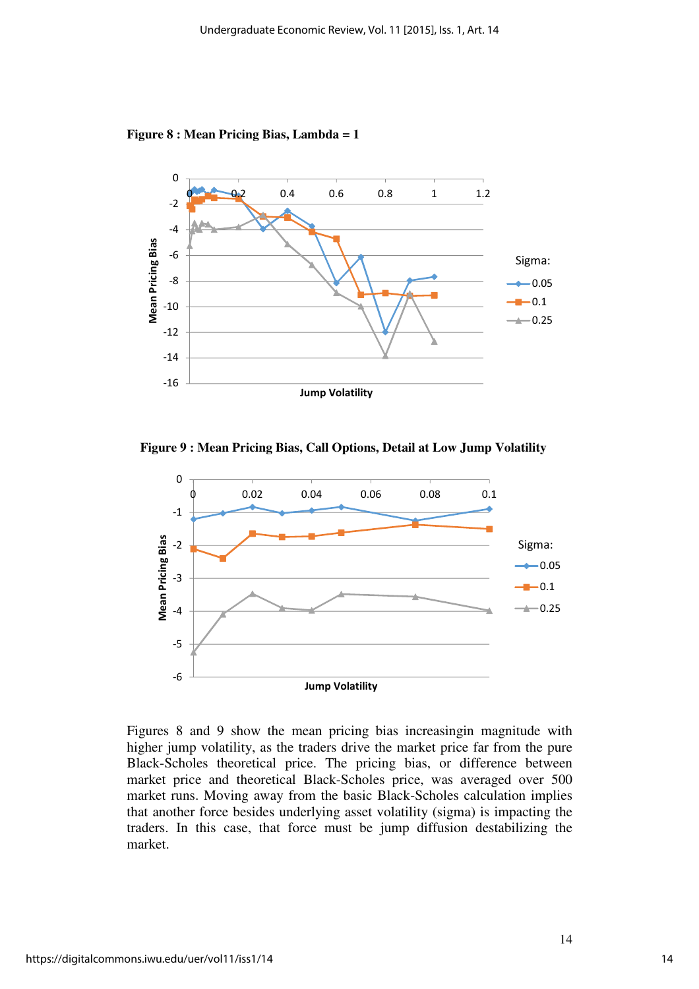**Figure 8 : Mean Pricing Bias, Lambda = 1**



**Figure 9 : Mean Pricing Bias, Call Options, Detail at Low Jump Volatility** 



Figures 8 and 9 show the mean pricing bias increasingin magnitude with higher jump volatility, as the traders drive the market price far from the pure Black-Scholes theoretical price. The pricing bias, or difference between market price and theoretical Black-Scholes price, was averaged over 500 market runs. Moving away from the basic Black-Scholes calculation implies that another force besides underlying asset volatility (sigma) is impacting the traders. In this case, that force must be jump diffusion destabilizing the market.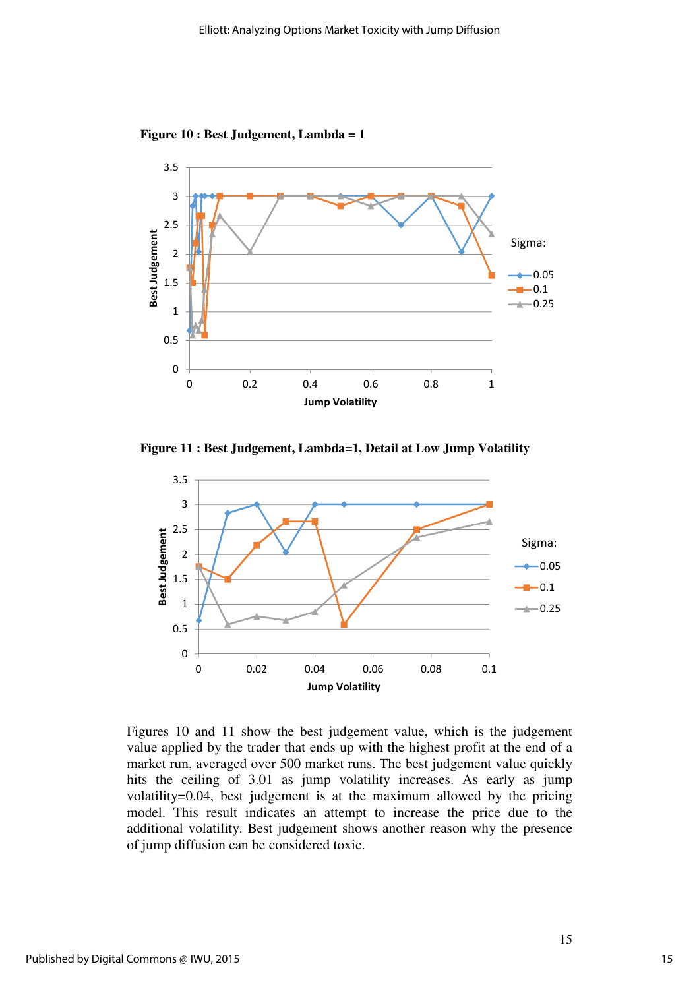**Figure 10 : Best Judgement, Lambda = 1** 



**Figure 11 : Best Judgement, Lambda=1, Detail at Low Jump Volatility** 



Figures 10 and 11 show the best judgement value, which is the judgement value applied by the trader that ends up with the highest profit at the end of a market run, averaged over 500 market runs. The best judgement value quickly hits the ceiling of 3.01 as jump volatility increases. As early as jump volatility=0.04, best judgement is at the maximum allowed by the pricing model. This result indicates an attempt to increase the price due to the additional volatility. Best judgement shows another reason why the presence of jump diffusion can be considered toxic.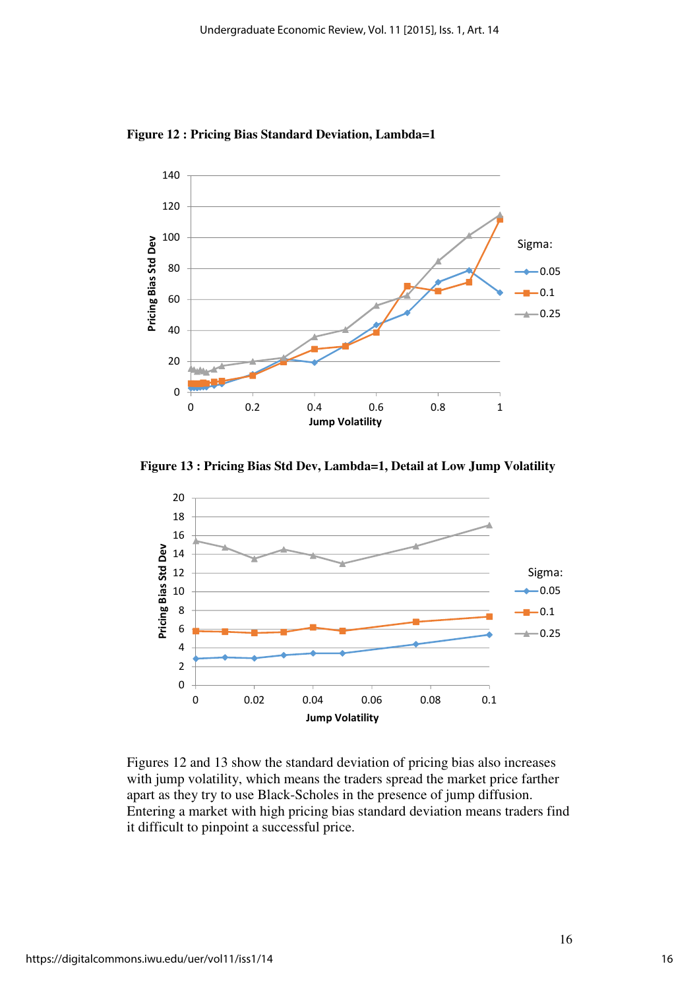

**Figure 12 : Pricing Bias Standard Deviation, Lambda=1**

**Figure 13 : Pricing Bias Std Dev, Lambda=1, Detail at Low Jump Volatility** 



Figures 12 and 13 show the standard deviation of pricing bias also increases with jump volatility, which means the traders spread the market price farther apart as they try to use Black-Scholes in the presence of jump diffusion. Entering a market with high pricing bias standard deviation means traders find it difficult to pinpoint a successful price.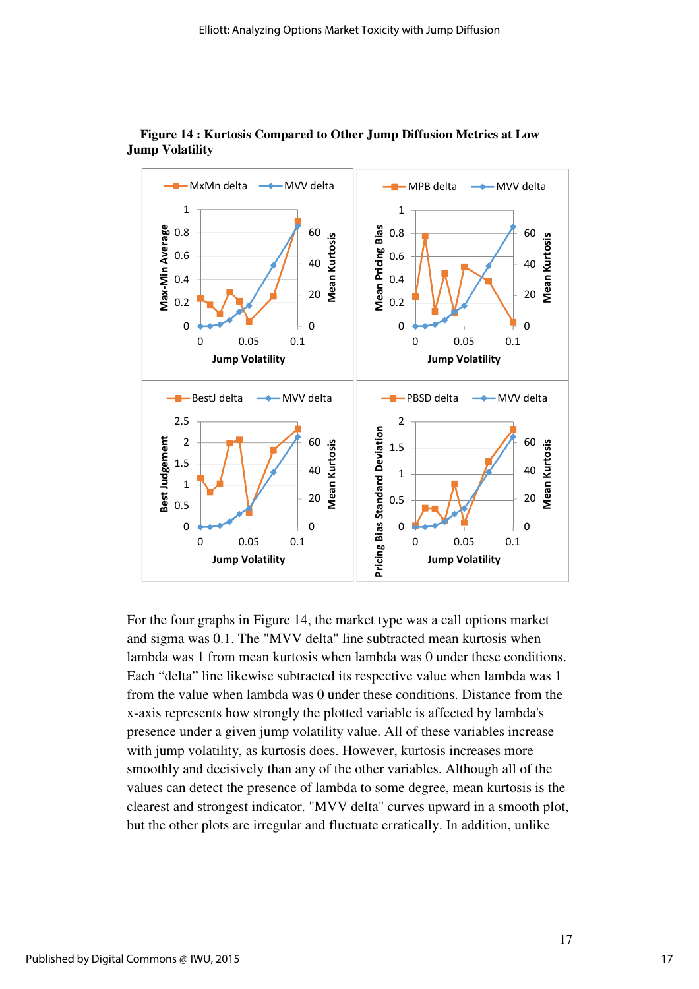



For the four graphs in Figure 14, the market type was a call options market and sigma was 0.1. The "MVV delta" line subtracted mean kurtosis when lambda was 1 from mean kurtosis when lambda was 0 under these conditions. Each "delta" line likewise subtracted its respective value when lambda was 1 from the value when lambda was 0 under these conditions. Distance from the x-axis represents how strongly the plotted variable is affected by lambda's presence under a given jump volatility value. All of these variables increase with jump volatility, as kurtosis does. However, kurtosis increases more smoothly and decisively than any of the other variables. Although all of the values can detect the presence of lambda to some degree, mean kurtosis is the clearest and strongest indicator. "MVV delta" curves upward in a smooth plot, but the other plots are irregular and fluctuate erratically. In addition, unlike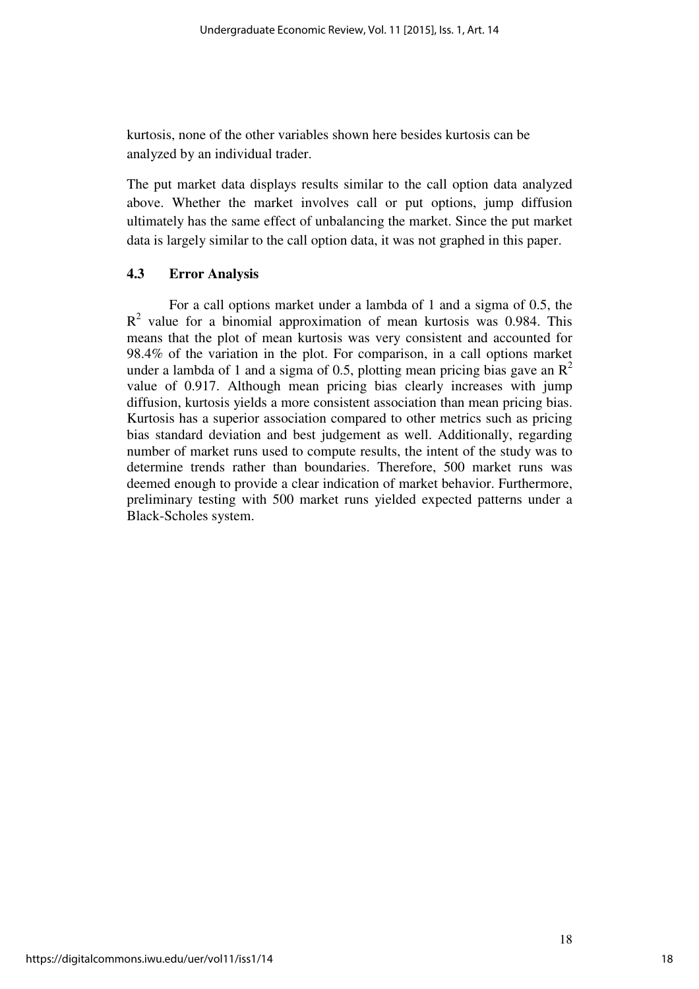kurtosis, none of the other variables shown here besides kurtosis can be analyzed by an individual trader.

The put market data displays results similar to the call option data analyzed above. Whether the market involves call or put options, jump diffusion ultimately has the same effect of unbalancing the market. Since the put market data is largely similar to the call option data, it was not graphed in this paper.

## **4.3 Error Analysis**

For a call options market under a lambda of 1 and a sigma of 0.5, the  $R<sup>2</sup>$  value for a binomial approximation of mean kurtosis was 0.984. This means that the plot of mean kurtosis was very consistent and accounted for 98.4% of the variation in the plot. For comparison, in a call options market under a lambda of 1 and a sigma of 0.5, plotting mean pricing bias gave an  $\mathbb{R}^2$ value of 0.917. Although mean pricing bias clearly increases with jump diffusion, kurtosis yields a more consistent association than mean pricing bias. Kurtosis has a superior association compared to other metrics such as pricing bias standard deviation and best judgement as well. Additionally, regarding number of market runs used to compute results, the intent of the study was to determine trends rather than boundaries. Therefore, 500 market runs was deemed enough to provide a clear indication of market behavior. Furthermore, preliminary testing with 500 market runs yielded expected patterns under a Black-Scholes system.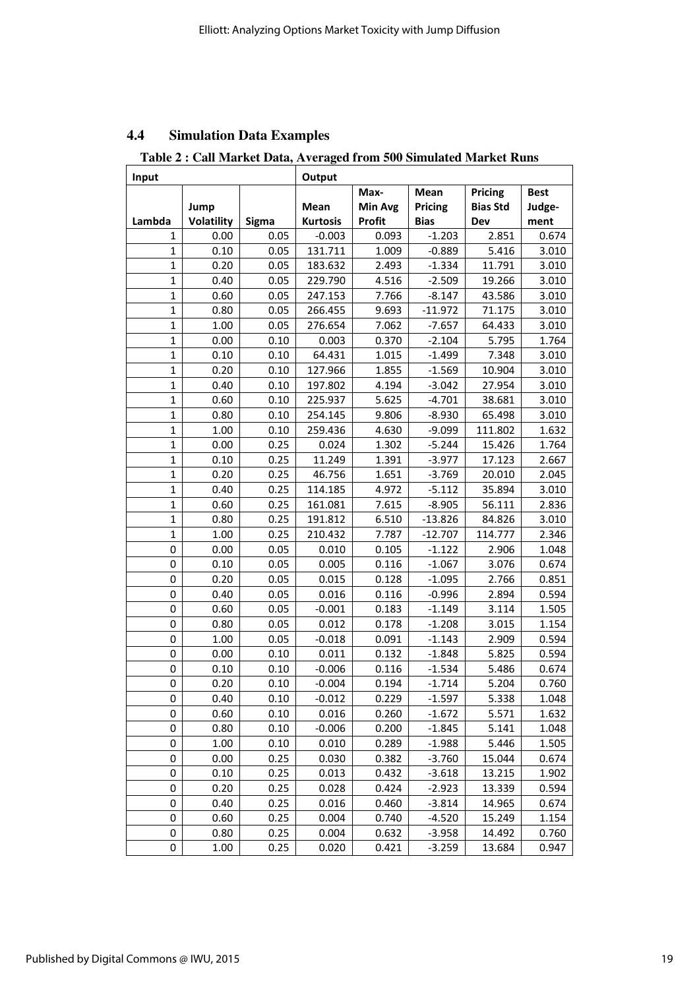## **4.4 Simulation Data Examples**

**Table 2 : Call Market Data, Averaged from 500 Simulated Market Runs** 

| Input        |                   |       | Output          |                |             |                 |             |
|--------------|-------------------|-------|-----------------|----------------|-------------|-----------------|-------------|
|              |                   |       |                 | Max-           | Mean        | Pricing         | <b>Best</b> |
|              | Jump              |       | <b>Mean</b>     | <b>Min Avg</b> | Pricing     | <b>Bias Std</b> | Judge-      |
| Lambda       | <b>Volatility</b> | Sigma | <b>Kurtosis</b> | Profit         | <b>Bias</b> | Dev             | ment        |
| 1            | 0.00              | 0.05  | $-0.003$        | 0.093          | $-1.203$    | 2.851           | 0.674       |
| $\mathbf{1}$ | 0.10              | 0.05  | 131.711         | 1.009          | $-0.889$    | 5.416           | 3.010       |
| $\mathbf{1}$ | 0.20              | 0.05  | 183.632         | 2.493          | $-1.334$    | 11.791          | 3.010       |
| $\mathbf{1}$ | 0.40              | 0.05  | 229.790         | 4.516          | $-2.509$    | 19.266          | 3.010       |
| $\mathbf{1}$ | 0.60              | 0.05  | 247.153         | 7.766          | $-8.147$    | 43.586          | 3.010       |
| $\mathbf{1}$ | 0.80              | 0.05  | 266.455         | 9.693          | $-11.972$   | 71.175          | 3.010       |
| $\mathbf{1}$ | 1.00              | 0.05  | 276.654         | 7.062          | $-7.657$    | 64.433          | 3.010       |
| $\mathbf{1}$ | 0.00              | 0.10  | 0.003           | 0.370          | $-2.104$    | 5.795           | 1.764       |
| $\mathbf{1}$ | 0.10              | 0.10  | 64.431          | 1.015          | $-1.499$    | 7.348           | 3.010       |
| $\mathbf{1}$ | 0.20              | 0.10  | 127.966         | 1.855          | $-1.569$    | 10.904          | 3.010       |
| $\mathbf{1}$ | 0.40              | 0.10  | 197.802         | 4.194          | $-3.042$    | 27.954          | 3.010       |
| $\mathbf{1}$ | 0.60              | 0.10  | 225.937         | 5.625          | $-4.701$    | 38.681          | 3.010       |
| $\mathbf{1}$ | 0.80              | 0.10  | 254.145         | 9.806          | $-8.930$    | 65.498          | 3.010       |
| $\mathbf{1}$ | 1.00              | 0.10  | 259.436         | 4.630          | $-9.099$    | 111.802         | 1.632       |
| $\mathbf{1}$ | 0.00              | 0.25  | 0.024           | 1.302          | $-5.244$    | 15.426          | 1.764       |
| $\mathbf{1}$ | 0.10              | 0.25  | 11.249          | 1.391          | $-3.977$    | 17.123          | 2.667       |
| $\mathbf{1}$ | 0.20              | 0.25  | 46.756          | 1.651          | $-3.769$    | 20.010          | 2.045       |
| $\mathbf{1}$ | 0.40              | 0.25  | 114.185         | 4.972          | $-5.112$    | 35.894          | 3.010       |
| $\mathbf{1}$ | 0.60              | 0.25  | 161.081         | 7.615          | $-8.905$    | 56.111          | 2.836       |
| $\mathbf{1}$ | 0.80              | 0.25  | 191.812         | 6.510          | $-13.826$   | 84.826          | 3.010       |
| $\mathbf{1}$ | 1.00              | 0.25  | 210.432         | 7.787          | $-12.707$   | 114.777         | 2.346       |
| 0            | 0.00              | 0.05  | 0.010           | 0.105          | $-1.122$    | 2.906           | 1.048       |
| 0            | 0.10              | 0.05  | 0.005           | 0.116          | $-1.067$    | 3.076           | 0.674       |
| 0            | 0.20              | 0.05  | 0.015           | 0.128          | $-1.095$    | 2.766           | 0.851       |
| 0            | 0.40              | 0.05  | 0.016           | 0.116          | $-0.996$    | 2.894           | 0.594       |
| 0            | 0.60              | 0.05  | $-0.001$        | 0.183          | $-1.149$    | 3.114           | 1.505       |
| 0            | 0.80              | 0.05  | 0.012           | 0.178          | $-1.208$    | 3.015           | 1.154       |
| 0            | 1.00              | 0.05  | $-0.018$        | 0.091          | $-1.143$    | 2.909           | 0.594       |
| 0            | 0.00              | 0.10  | 0.011           | 0.132          | $-1.848$    | 5.825           | 0.594       |
| 0            | 0.10              | 0.10  | $-0.006$        | 0.116          | $-1.534$    | 5.486           | 0.674       |
| 0            | 0.20              | 0.10  | $-0.004$        | 0.194          | $-1.714$    | 5.204           | 0.760       |
| 0            | 0.40              | 0.10  | $-0.012$        | 0.229          | $-1.597$    | 5.338           | 1.048       |
| 0            | 0.60              | 0.10  | 0.016           | 0.260          | $-1.672$    | 5.571           | 1.632       |
| 0            | 0.80              | 0.10  | $-0.006$        | 0.200          | $-1.845$    | 5.141           | 1.048       |
| 0            | 1.00              | 0.10  | 0.010           | 0.289          | $-1.988$    | 5.446           | 1.505       |
| 0            | 0.00              | 0.25  | 0.030           | 0.382          | $-3.760$    | 15.044          | 0.674       |
| 0            | 0.10              | 0.25  | 0.013           | 0.432          | $-3.618$    | 13.215          | 1.902       |
| 0            | 0.20              | 0.25  | 0.028           | 0.424          | $-2.923$    | 13.339          | 0.594       |
| 0            | 0.40              | 0.25  | 0.016           | 0.460          | $-3.814$    | 14.965          | 0.674       |
| 0            | 0.60              | 0.25  | 0.004           | 0.740          | $-4.520$    | 15.249          | 1.154       |
| 0            | 0.80              | 0.25  | 0.004           | 0.632          | $-3.958$    | 14.492          | 0.760       |
| 0            | 1.00              | 0.25  | 0.020           | 0.421          | $-3.259$    | 13.684          | 0.947       |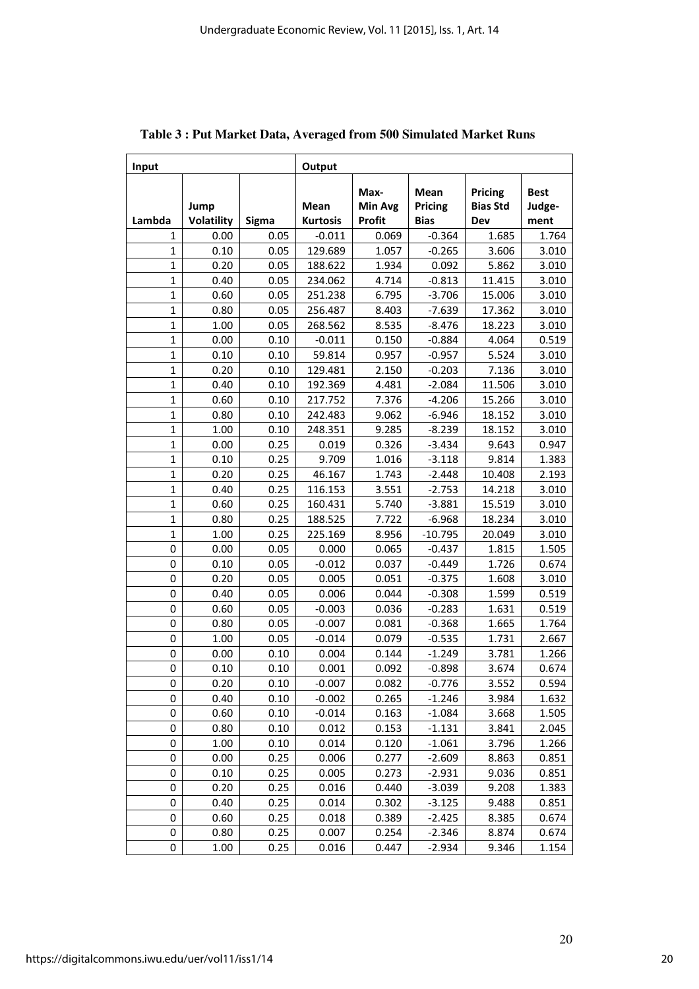| Input        |                           |       | Output                         |                                  |                                       |                                          |                               |
|--------------|---------------------------|-------|--------------------------------|----------------------------------|---------------------------------------|------------------------------------------|-------------------------------|
| Lambda       | Jump<br><b>Volatility</b> | Sigma | <b>Mean</b><br><b>Kurtosis</b> | Max-<br><b>Min Avg</b><br>Profit | <b>Mean</b><br>Pricing<br><b>Bias</b> | <b>Pricing</b><br><b>Bias Std</b><br>Dev | <b>Best</b><br>Judge-<br>ment |
| 1            | 0.00                      | 0.05  | $-0.011$                       | 0.069                            | $-0.364$                              | 1.685                                    | 1.764                         |
| $\mathbf{1}$ | 0.10                      | 0.05  | 129.689                        | 1.057                            | $-0.265$                              | 3.606                                    | 3.010                         |
| 1            | 0.20                      | 0.05  | 188.622                        | 1.934                            | 0.092                                 | 5.862                                    | 3.010                         |
| $\mathbf{1}$ | 0.40                      | 0.05  | 234.062                        | 4.714                            | $-0.813$                              | 11.415                                   | 3.010                         |
| $\mathbf{1}$ | 0.60                      | 0.05  | 251.238                        | 6.795                            | $-3.706$                              | 15.006                                   | 3.010                         |
| $\mathbf{1}$ | 0.80                      | 0.05  | 256.487                        | 8.403                            | $-7.639$                              | 17.362                                   | 3.010                         |
| 1            | 1.00                      | 0.05  | 268.562                        | 8.535                            | $-8.476$                              | 18.223                                   | 3.010                         |
| $\mathbf{1}$ | 0.00                      | 0.10  | $-0.011$                       | 0.150                            | $-0.884$                              | 4.064                                    | 0.519                         |
| $\mathbf{1}$ | 0.10                      | 0.10  | 59.814                         | 0.957                            | $-0.957$                              | 5.524                                    | 3.010                         |
| $\mathbf{1}$ | 0.20                      | 0.10  | 129.481                        | 2.150                            | $-0.203$                              | 7.136                                    | 3.010                         |
| 1            | 0.40                      | 0.10  | 192.369                        | 4.481                            | $-2.084$                              | 11.506                                   | 3.010                         |
| $\mathbf{1}$ | 0.60                      | 0.10  | 217.752                        | 7.376                            | $-4.206$                              | 15.266                                   | 3.010                         |
| $\mathbf{1}$ | 0.80                      | 0.10  | 242.483                        | 9.062                            | $-6.946$                              | 18.152                                   | 3.010                         |
| $\mathbf{1}$ | 1.00                      | 0.10  | 248.351                        | 9.285                            | $-8.239$                              | 18.152                                   | 3.010                         |
| $\mathbf{1}$ | 0.00                      | 0.25  | 0.019                          | 0.326                            | $-3.434$                              | 9.643                                    | 0.947                         |
| $\mathbf{1}$ | 0.10                      | 0.25  | 9.709                          | 1.016                            | $-3.118$                              | 9.814                                    | 1.383                         |
| $\mathbf{1}$ | 0.20                      | 0.25  | 46.167                         | 1.743                            | $-2.448$                              | 10.408                                   | 2.193                         |
| $\mathbf{1}$ | 0.40                      | 0.25  | 116.153                        | 3.551                            | $-2.753$                              | 14.218                                   | 3.010                         |
| $\mathbf{1}$ | 0.60                      | 0.25  | 160.431                        | 5.740                            | $-3.881$                              | 15.519                                   | 3.010                         |
| 1            | 0.80                      | 0.25  | 188.525                        | 7.722                            | $-6.968$                              | 18.234                                   | 3.010                         |
| $\mathbf{1}$ | 1.00                      | 0.25  | 225.169                        | 8.956                            | $-10.795$                             | 20.049                                   | 3.010                         |
| 0            | 0.00                      | 0.05  | 0.000                          | 0.065                            | $-0.437$                              | 1.815                                    | 1.505                         |
| 0            | 0.10                      | 0.05  | $-0.012$                       | 0.037                            | $-0.449$                              | 1.726                                    | 0.674                         |
| 0            | 0.20                      | 0.05  | 0.005                          | 0.051                            | $-0.375$                              | 1.608                                    | 3.010                         |
| 0            | 0.40                      | 0.05  | 0.006                          | 0.044                            | $-0.308$                              | 1.599                                    | 0.519                         |
| 0            | 0.60                      | 0.05  | $-0.003$                       | 0.036                            | $-0.283$                              | 1.631                                    | 0.519                         |
| 0            | 0.80                      | 0.05  | $-0.007$                       | 0.081                            | $-0.368$                              | 1.665                                    | 1.764                         |
| 0            | 1.00                      | 0.05  | $-0.014$                       | 0.079                            | $-0.535$                              | 1.731                                    | 2.667                         |
| 0            | 0.00                      | 0.10  | 0.004                          | 0.144                            | $-1.249$                              | 3.781                                    | 1.266                         |
| 0            | 0.10                      | 0.10  | 0.001                          | 0.092                            | $-0.898$                              | 3.674                                    | 0.674                         |
| 0            | 0.20                      | 0.10  | $-0.007$                       | 0.082                            | $-0.776$                              | 3.552                                    | 0.594                         |
| 0            | 0.40                      | 0.10  | $-0.002$                       | 0.265                            | $-1.246$                              | 3.984                                    | 1.632                         |
| 0            | 0.60                      | 0.10  | $-0.014$                       | 0.163                            | $-1.084$                              | 3.668                                    | 1.505                         |
| 0            | 0.80                      | 0.10  | 0.012                          | 0.153                            | $-1.131$                              | 3.841                                    | 2.045                         |
| 0            | 1.00                      | 0.10  | 0.014                          | 0.120                            | $-1.061$                              | 3.796                                    | 1.266                         |
| 0            | 0.00                      | 0.25  | 0.006                          | 0.277                            | $-2.609$                              | 8.863                                    | 0.851                         |
| 0            | 0.10                      | 0.25  | 0.005                          | 0.273                            | $-2.931$                              | 9.036                                    | 0.851                         |
| 0            | 0.20                      | 0.25  | 0.016                          | 0.440                            | $-3.039$                              | 9.208                                    | 1.383                         |
| 0            | 0.40                      | 0.25  | 0.014                          | 0.302                            | $-3.125$                              | 9.488                                    | 0.851                         |
| 0            | 0.60                      | 0.25  | 0.018                          | 0.389                            | $-2.425$                              | 8.385                                    | 0.674                         |
| 0            | 0.80                      | 0.25  | 0.007                          | 0.254                            | $-2.346$                              | 8.874                                    | 0.674                         |
| 0            | 1.00                      | 0.25  | 0.016                          | 0.447                            | $-2.934$                              | 9.346                                    | 1.154                         |

## **Table 3 : Put Market Data, Averaged from 500 Simulated Market Runs**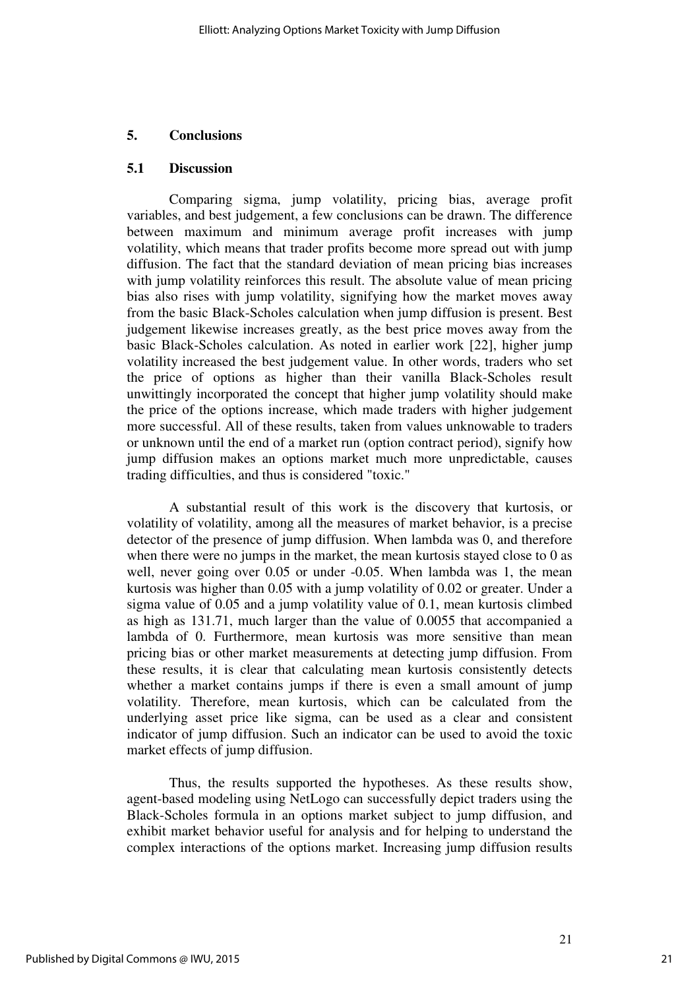#### **5. Conclusions**

#### **5.1 Discussion**

Comparing sigma, jump volatility, pricing bias, average profit variables, and best judgement, a few conclusions can be drawn. The difference between maximum and minimum average profit increases with jump volatility, which means that trader profits become more spread out with jump diffusion. The fact that the standard deviation of mean pricing bias increases with jump volatility reinforces this result. The absolute value of mean pricing bias also rises with jump volatility, signifying how the market moves away from the basic Black-Scholes calculation when jump diffusion is present. Best judgement likewise increases greatly, as the best price moves away from the basic Black-Scholes calculation. As noted in earlier work [22], higher jump volatility increased the best judgement value. In other words, traders who set the price of options as higher than their vanilla Black-Scholes result unwittingly incorporated the concept that higher jump volatility should make the price of the options increase, which made traders with higher judgement more successful. All of these results, taken from values unknowable to traders or unknown until the end of a market run (option contract period), signify how jump diffusion makes an options market much more unpredictable, causes trading difficulties, and thus is considered "toxic."

A substantial result of this work is the discovery that kurtosis, or volatility of volatility, among all the measures of market behavior, is a precise detector of the presence of jump diffusion. When lambda was 0, and therefore when there were no jumps in the market, the mean kurtosis stayed close to 0 as well, never going over 0.05 or under -0.05. When lambda was 1, the mean kurtosis was higher than 0.05 with a jump volatility of 0.02 or greater. Under a sigma value of 0.05 and a jump volatility value of 0.1, mean kurtosis climbed as high as 131.71, much larger than the value of 0.0055 that accompanied a lambda of 0. Furthermore, mean kurtosis was more sensitive than mean pricing bias or other market measurements at detecting jump diffusion. From these results, it is clear that calculating mean kurtosis consistently detects whether a market contains jumps if there is even a small amount of jump volatility. Therefore, mean kurtosis, which can be calculated from the underlying asset price like sigma, can be used as a clear and consistent indicator of jump diffusion. Such an indicator can be used to avoid the toxic market effects of jump diffusion.

Thus, the results supported the hypotheses. As these results show, agent-based modeling using NetLogo can successfully depict traders using the Black-Scholes formula in an options market subject to jump diffusion, and exhibit market behavior useful for analysis and for helping to understand the complex interactions of the options market. Increasing jump diffusion results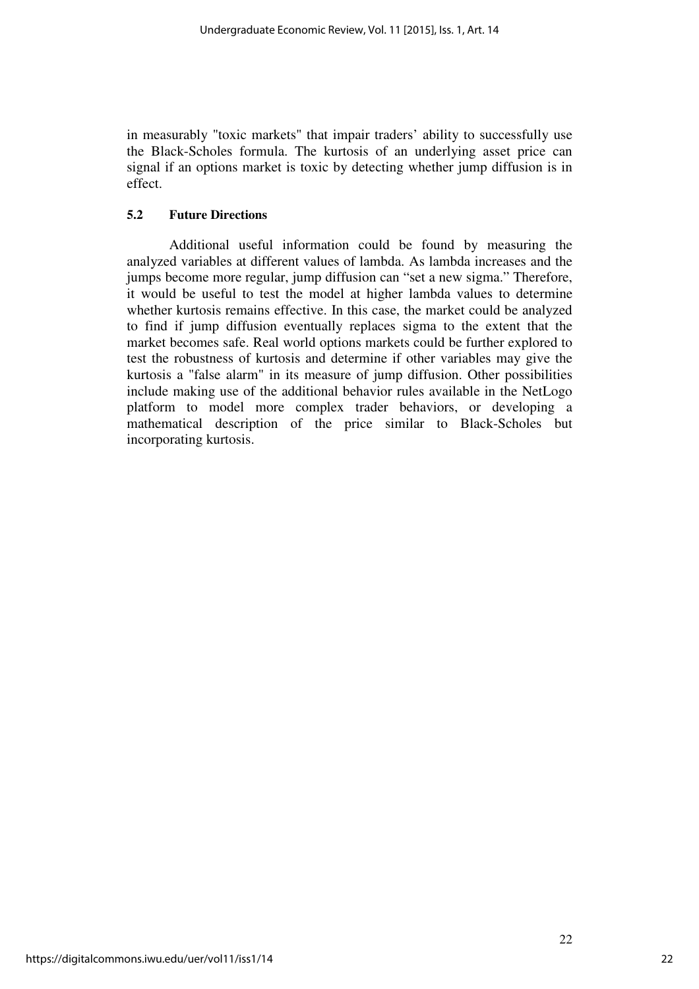in measurably "toxic markets" that impair traders' ability to successfully use the Black-Scholes formula. The kurtosis of an underlying asset price can signal if an options market is toxic by detecting whether jump diffusion is in effect.

#### **5.2 Future Directions**

Additional useful information could be found by measuring the analyzed variables at different values of lambda. As lambda increases and the jumps become more regular, jump diffusion can "set a new sigma." Therefore, it would be useful to test the model at higher lambda values to determine whether kurtosis remains effective. In this case, the market could be analyzed to find if jump diffusion eventually replaces sigma to the extent that the market becomes safe. Real world options markets could be further explored to test the robustness of kurtosis and determine if other variables may give the kurtosis a "false alarm" in its measure of jump diffusion. Other possibilities include making use of the additional behavior rules available in the NetLogo platform to model more complex trader behaviors, or developing a mathematical description of the price similar to Black-Scholes but incorporating kurtosis.